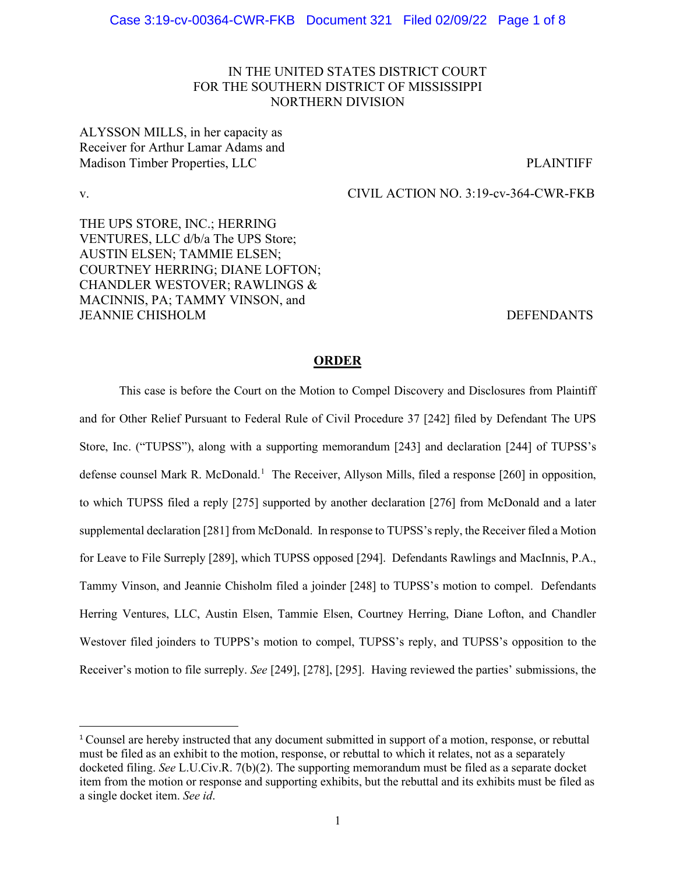# IN THE UNITED STATES DISTRICT COURT FOR THE SOUTHERN DISTRICT OF MISSISSIPPI NORTHERN DIVISION

ALYSSON MILLS, in her capacity as Receiver for Arthur Lamar Adams and Madison Timber Properties, LLC **PLAINTIFF** 

v. CIVIL ACTION NO. 3:19-cv-364-CWR-FKB

THE UPS STORE, INC.; HERRING VENTURES, LLC d/b/a The UPS Store; AUSTIN ELSEN; TAMMIE ELSEN; COURTNEY HERRING; DIANE LOFTON; CHANDLER WESTOVER; RAWLINGS & MACINNIS, PA; TAMMY VINSON, and JEANNIE CHISHOLM DEFENDANTS

### **ORDER**

This case is before the Court on the Motion to Compel Discovery and Disclosures from Plaintiff and for Other Relief Pursuant to Federal Rule of Civil Procedure 37 [242] filed by Defendant The UPS Store, Inc. ("TUPSS"), along with a supporting memorandum [243] and declaration [244] of TUPSS's defense counsel Mark R. McDonald.<sup>[1](#page-0-0)</sup> The Receiver, Allyson Mills, filed a response [260] in opposition, to which TUPSS filed a reply [275] supported by another declaration [276] from McDonald and a later supplemental declaration [281] from McDonald. In response to TUPSS's reply, the Receiver filed a Motion for Leave to File Surreply [289], which TUPSS opposed [294]. Defendants Rawlings and MacInnis, P.A., Tammy Vinson, and Jeannie Chisholm filed a joinder [248] to TUPSS's motion to compel. Defendants Herring Ventures, LLC, Austin Elsen, Tammie Elsen, Courtney Herring, Diane Lofton, and Chandler Westover filed joinders to TUPPS's motion to compel, TUPSS's reply, and TUPSS's opposition to the Receiver's motion to file surreply. *See* [249], [278], [295]. Having reviewed the parties' submissions, the

<span id="page-0-0"></span><sup>1</sup> Counsel are hereby instructed that any document submitted in support of a motion, response, or rebuttal must be filed as an exhibit to the motion, response, or rebuttal to which it relates, not as a separately docketed filing. *See* L.U.Civ.R. 7(b)(2). The supporting memorandum must be filed as a separate docket item from the motion or response and supporting exhibits, but the rebuttal and its exhibits must be filed as a single docket item. *See id*.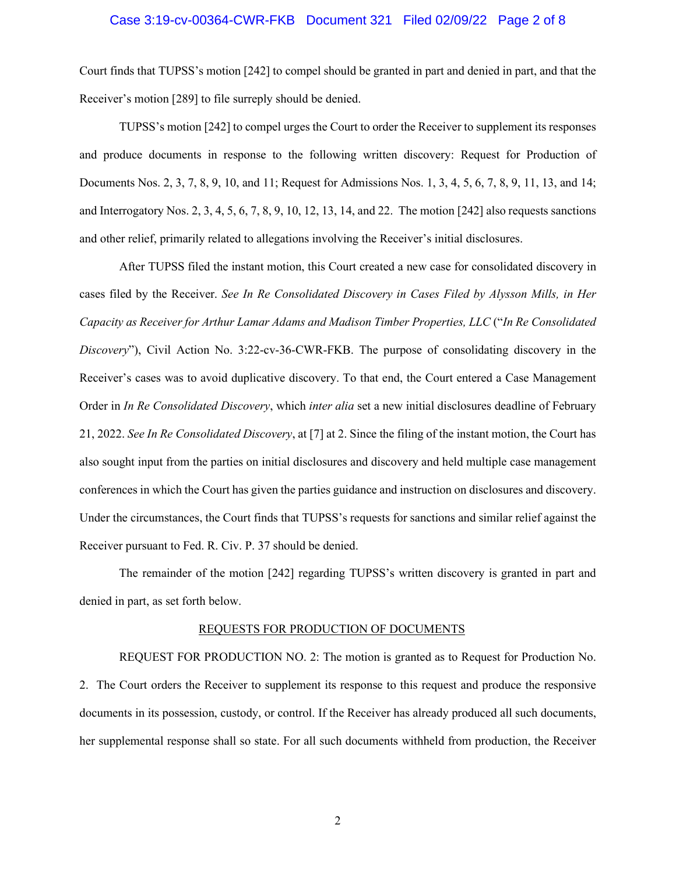# Case 3:19-cv-00364-CWR-FKB Document 321 Filed 02/09/22 Page 2 of 8

Court finds that TUPSS's motion [242] to compel should be granted in part and denied in part, and that the Receiver's motion [289] to file surreply should be denied.

TUPSS's motion [242] to compel urges the Court to order the Receiver to supplement its responses and produce documents in response to the following written discovery: Request for Production of Documents Nos. 2, 3, 7, 8, 9, 10, and 11; Request for Admissions Nos. 1, 3, 4, 5, 6, 7, 8, 9, 11, 13, and 14; and Interrogatory Nos. 2, 3, 4, 5, 6, 7, 8, 9, 10, 12, 13, 14, and 22. The motion [242] also requests sanctions and other relief, primarily related to allegations involving the Receiver's initial disclosures.

After TUPSS filed the instant motion, this Court created a new case for consolidated discovery in cases filed by the Receiver. *See In Re Consolidated Discovery in Cases Filed by Alysson Mills, in Her Capacity as Receiver for Arthur Lamar Adams and Madison Timber Properties, LLC* ("*In Re Consolidated Discovery*"), Civil Action No. 3:22-cv-36-CWR-FKB. The purpose of consolidating discovery in the Receiver's cases was to avoid duplicative discovery. To that end, the Court entered a Case Management Order in *In Re Consolidated Discovery*, which *inter alia* set a new initial disclosures deadline of February 21, 2022. *See In Re Consolidated Discovery*, at [7] at 2. Since the filing of the instant motion, the Court has also sought input from the parties on initial disclosures and discovery and held multiple case management conferences in which the Court has given the parties guidance and instruction on disclosures and discovery. Under the circumstances, the Court finds that TUPSS's requests for sanctions and similar relief against the Receiver pursuant to Fed. R. Civ. P. 37 should be denied.

The remainder of the motion [242] regarding TUPSS's written discovery is granted in part and denied in part, as set forth below.

#### REQUESTS FOR PRODUCTION OF DOCUMENTS

REQUEST FOR PRODUCTION NO. 2: The motion is granted as to Request for Production No. 2. The Court orders the Receiver to supplement its response to this request and produce the responsive documents in its possession, custody, or control. If the Receiver has already produced all such documents, her supplemental response shall so state. For all such documents withheld from production, the Receiver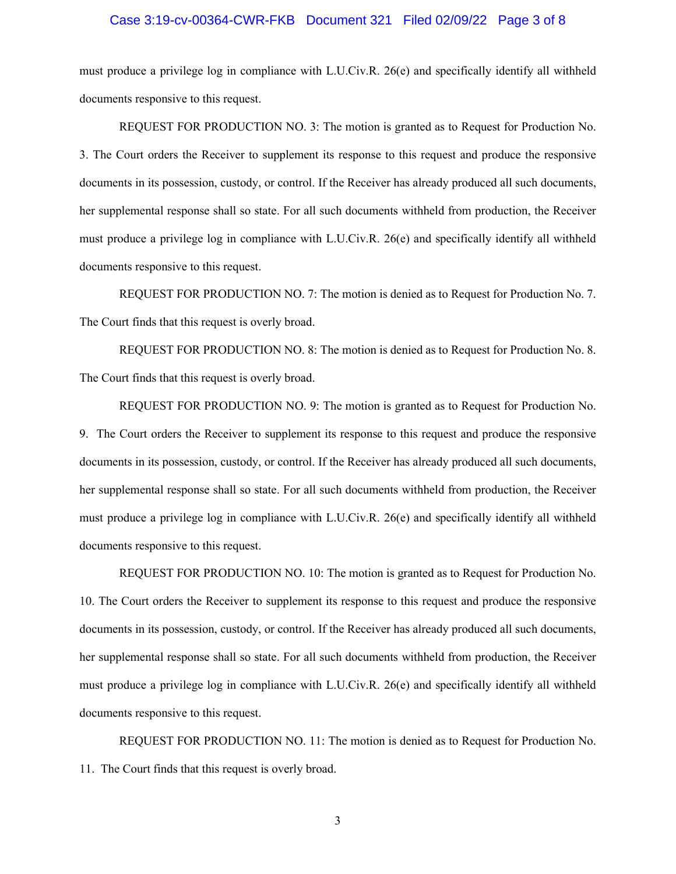# Case 3:19-cv-00364-CWR-FKB Document 321 Filed 02/09/22 Page 3 of 8

must produce a privilege log in compliance with L.U.Civ.R. 26(e) and specifically identify all withheld documents responsive to this request.

REQUEST FOR PRODUCTION NO. 3: The motion is granted as to Request for Production No. 3. The Court orders the Receiver to supplement its response to this request and produce the responsive documents in its possession, custody, or control. If the Receiver has already produced all such documents, her supplemental response shall so state. For all such documents withheld from production, the Receiver must produce a privilege log in compliance with L.U.Civ.R. 26(e) and specifically identify all withheld documents responsive to this request.

REQUEST FOR PRODUCTION NO. 7: The motion is denied as to Request for Production No. 7. The Court finds that this request is overly broad.

REQUEST FOR PRODUCTION NO. 8: The motion is denied as to Request for Production No. 8. The Court finds that this request is overly broad.

REQUEST FOR PRODUCTION NO. 9: The motion is granted as to Request for Production No. 9. The Court orders the Receiver to supplement its response to this request and produce the responsive documents in its possession, custody, or control. If the Receiver has already produced all such documents, her supplemental response shall so state. For all such documents withheld from production, the Receiver must produce a privilege log in compliance with L.U.Civ.R. 26(e) and specifically identify all withheld documents responsive to this request.

REQUEST FOR PRODUCTION NO. 10: The motion is granted as to Request for Production No. 10. The Court orders the Receiver to supplement its response to this request and produce the responsive documents in its possession, custody, or control. If the Receiver has already produced all such documents, her supplemental response shall so state. For all such documents withheld from production, the Receiver must produce a privilege log in compliance with L.U.Civ.R. 26(e) and specifically identify all withheld documents responsive to this request.

REQUEST FOR PRODUCTION NO. 11: The motion is denied as to Request for Production No. 11. The Court finds that this request is overly broad.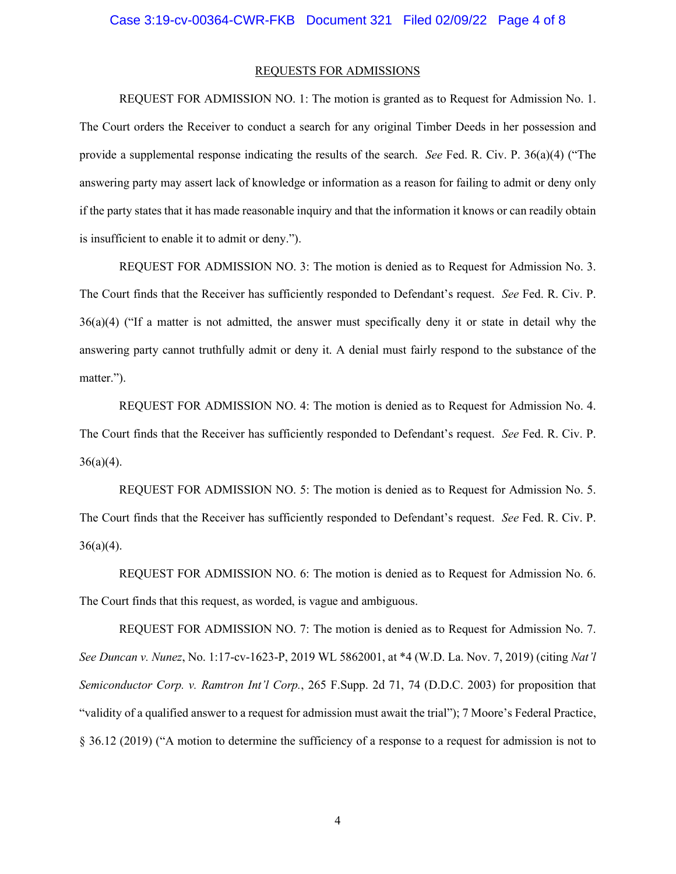#### REQUESTS FOR ADMISSIONS

REQUEST FOR ADMISSION NO. 1: The motion is granted as to Request for Admission No. 1. The Court orders the Receiver to conduct a search for any original Timber Deeds in her possession and provide a supplemental response indicating the results of the search. *See* Fed. R. Civ. P. 36(a)(4) ("The answering party may assert lack of knowledge or information as a reason for failing to admit or deny only if the party states that it has made reasonable inquiry and that the information it knows or can readily obtain is insufficient to enable it to admit or deny.").

REQUEST FOR ADMISSION NO. 3: The motion is denied as to Request for Admission No. 3. The Court finds that the Receiver has sufficiently responded to Defendant's request. *See* Fed. R. Civ. P. 36(a)(4) ("If a matter is not admitted, the answer must specifically deny it or state in detail why the answering party cannot truthfully admit or deny it. A denial must fairly respond to the substance of the matter.").

REQUEST FOR ADMISSION NO. 4: The motion is denied as to Request for Admission No. 4. The Court finds that the Receiver has sufficiently responded to Defendant's request. *See* Fed. R. Civ. P.  $36(a)(4)$ .

REQUEST FOR ADMISSION NO. 5: The motion is denied as to Request for Admission No. 5. The Court finds that the Receiver has sufficiently responded to Defendant's request. *See* Fed. R. Civ. P.  $36(a)(4)$ .

REQUEST FOR ADMISSION NO. 6: The motion is denied as to Request for Admission No. 6. The Court finds that this request, as worded, is vague and ambiguous.

REQUEST FOR ADMISSION NO. 7: The motion is denied as to Request for Admission No. 7. *See Duncan v. Nunez*, No. 1:17-cv-1623-P, 2019 WL 5862001, at \*4 (W.D. La. Nov. 7, 2019) (citing *Nat'l Semiconductor Corp. v. Ramtron Int'l Corp.*, 265 F.Supp. 2d 71, 74 (D.D.C. 2003) for proposition that "validity of a qualified answer to a request for admission must await the trial"); 7 Moore's Federal Practice, § 36.12 (2019) ("A motion to determine the sufficiency of a response to a request for admission is not to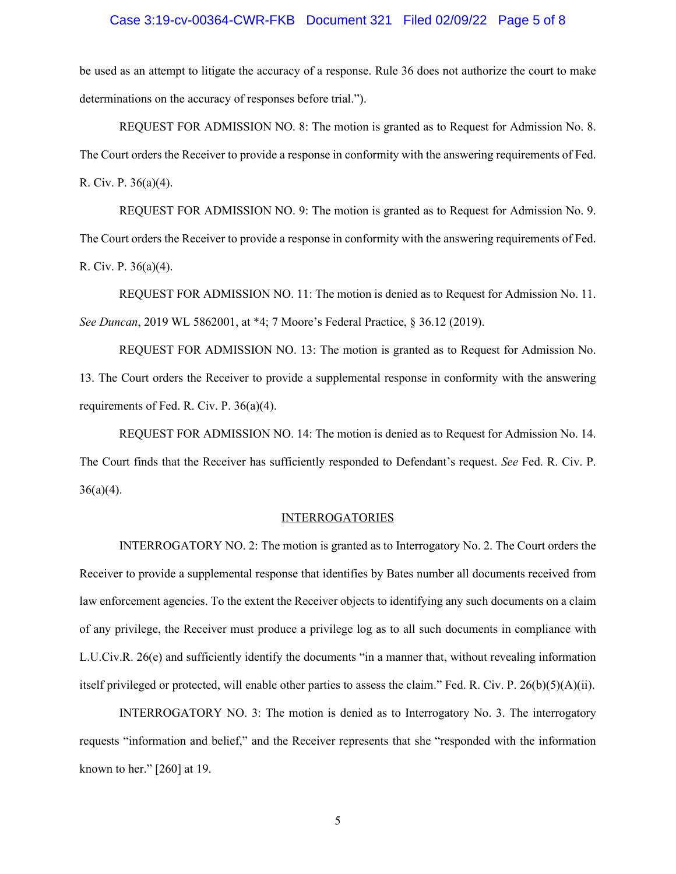# Case 3:19-cv-00364-CWR-FKB Document 321 Filed 02/09/22 Page 5 of 8

be used as an attempt to litigate the accuracy of a response. Rule 36 does not authorize the court to make determinations on the accuracy of responses before trial.").

REQUEST FOR ADMISSION NO. 8: The motion is granted as to Request for Admission No. 8. The Court orders the Receiver to provide a response in conformity with the answering requirements of Fed. R. Civ. P. 36(a)(4).

REQUEST FOR ADMISSION NO. 9: The motion is granted as to Request for Admission No. 9. The Court orders the Receiver to provide a response in conformity with the answering requirements of Fed. R. Civ. P. 36(a)(4).

REQUEST FOR ADMISSION NO. 11: The motion is denied as to Request for Admission No. 11. *See Duncan*, 2019 WL 5862001, at \*4; 7 Moore's Federal Practice, § 36.12 (2019).

REQUEST FOR ADMISSION NO. 13: The motion is granted as to Request for Admission No. 13. The Court orders the Receiver to provide a supplemental response in conformity with the answering requirements of Fed. R. Civ. P. 36(a)(4).

REQUEST FOR ADMISSION NO. 14: The motion is denied as to Request for Admission No. 14. The Court finds that the Receiver has sufficiently responded to Defendant's request. *See* Fed. R. Civ. P.  $36(a)(4)$ .

#### INTERROGATORIES

INTERROGATORY NO. 2: The motion is granted as to Interrogatory No. 2. The Court orders the Receiver to provide a supplemental response that identifies by Bates number all documents received from law enforcement agencies. To the extent the Receiver objects to identifying any such documents on a claim of any privilege, the Receiver must produce a privilege log as to all such documents in compliance with L.U.Civ.R. 26(e) and sufficiently identify the documents "in a manner that, without revealing information itself privileged or protected, will enable other parties to assess the claim." Fed. R. Civ. P.  $26(b)(5)(A)(ii)$ .

INTERROGATORY NO. 3: The motion is denied as to Interrogatory No. 3. The interrogatory requests "information and belief," and the Receiver represents that she "responded with the information known to her." [260] at 19.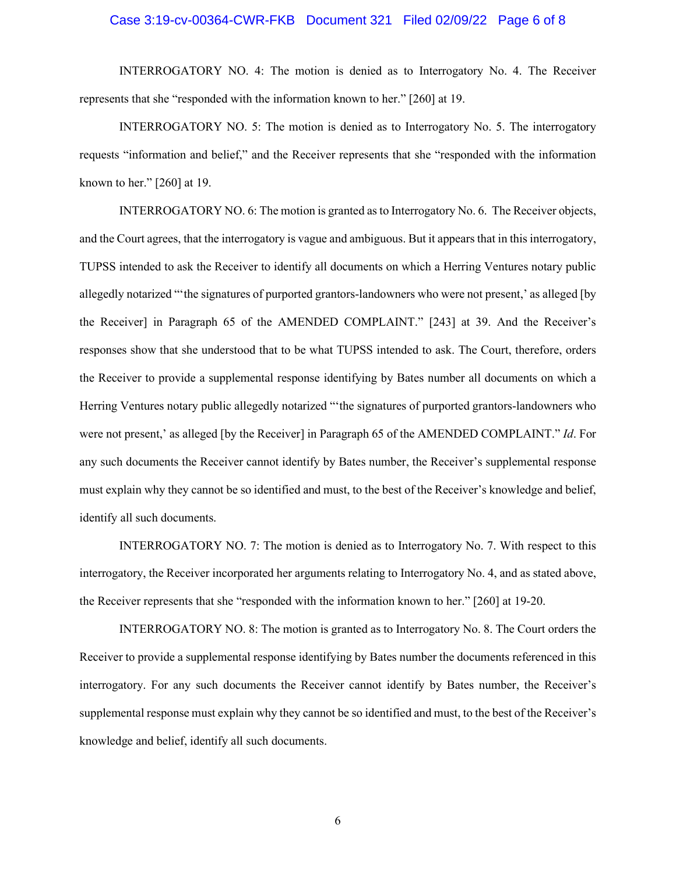# Case 3:19-cv-00364-CWR-FKB Document 321 Filed 02/09/22 Page 6 of 8

INTERROGATORY NO. 4: The motion is denied as to Interrogatory No. 4. The Receiver represents that she "responded with the information known to her." [260] at 19.

INTERROGATORY NO. 5: The motion is denied as to Interrogatory No. 5. The interrogatory requests "information and belief," and the Receiver represents that she "responded with the information known to her." [260] at 19.

INTERROGATORY NO. 6: The motion is granted as to Interrogatory No. 6. The Receiver objects, and the Court agrees, that the interrogatory is vague and ambiguous. But it appears that in this interrogatory, TUPSS intended to ask the Receiver to identify all documents on which a Herring Ventures notary public allegedly notarized "'the signatures of purported grantors-landowners who were not present,' as alleged [by the Receiver] in Paragraph 65 of the AMENDED COMPLAINT." [243] at 39. And the Receiver's responses show that she understood that to be what TUPSS intended to ask. The Court, therefore, orders the Receiver to provide a supplemental response identifying by Bates number all documents on which a Herring Ventures notary public allegedly notarized "'the signatures of purported grantors-landowners who were not present,' as alleged [by the Receiver] in Paragraph 65 of the AMENDED COMPLAINT." *Id*. For any such documents the Receiver cannot identify by Bates number, the Receiver's supplemental response must explain why they cannot be so identified and must, to the best of the Receiver's knowledge and belief, identify all such documents.

INTERROGATORY NO. 7: The motion is denied as to Interrogatory No. 7. With respect to this interrogatory, the Receiver incorporated her arguments relating to Interrogatory No. 4, and as stated above, the Receiver represents that she "responded with the information known to her." [260] at 19-20.

INTERROGATORY NO. 8: The motion is granted as to Interrogatory No. 8. The Court orders the Receiver to provide a supplemental response identifying by Bates number the documents referenced in this interrogatory. For any such documents the Receiver cannot identify by Bates number, the Receiver's supplemental response must explain why they cannot be so identified and must, to the best of the Receiver's knowledge and belief, identify all such documents.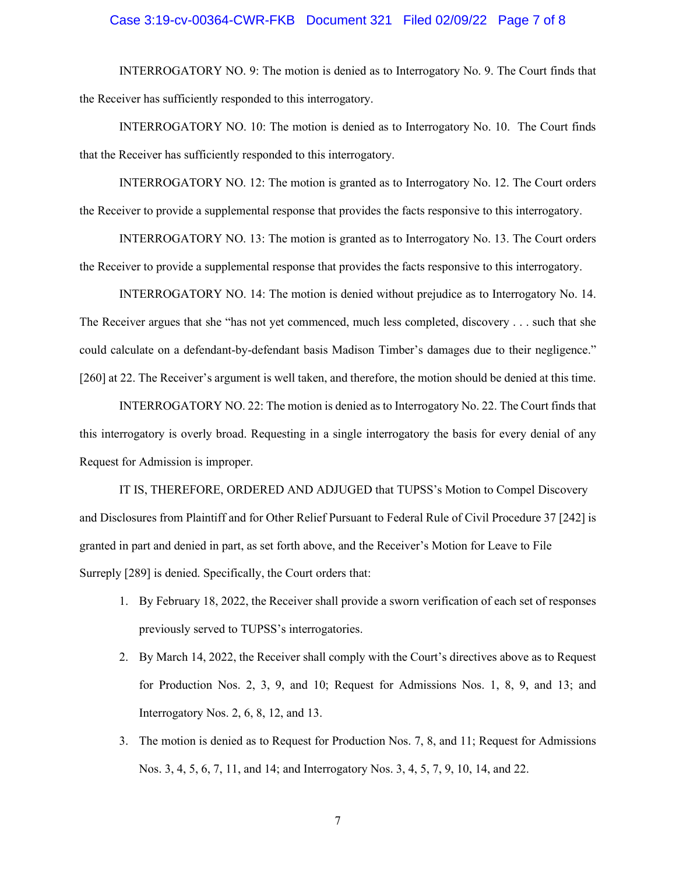# Case 3:19-cv-00364-CWR-FKB Document 321 Filed 02/09/22 Page 7 of 8

INTERROGATORY NO. 9: The motion is denied as to Interrogatory No. 9. The Court finds that the Receiver has sufficiently responded to this interrogatory.

INTERROGATORY NO. 10: The motion is denied as to Interrogatory No. 10. The Court finds that the Receiver has sufficiently responded to this interrogatory.

INTERROGATORY NO. 12: The motion is granted as to Interrogatory No. 12. The Court orders the Receiver to provide a supplemental response that provides the facts responsive to this interrogatory.

INTERROGATORY NO. 13: The motion is granted as to Interrogatory No. 13. The Court orders the Receiver to provide a supplemental response that provides the facts responsive to this interrogatory.

INTERROGATORY NO. 14: The motion is denied without prejudice as to Interrogatory No. 14. The Receiver argues that she "has not yet commenced, much less completed, discovery . . . such that she could calculate on a defendant-by-defendant basis Madison Timber's damages due to their negligence." [260] at 22. The Receiver's argument is well taken, and therefore, the motion should be denied at this time.

INTERROGATORY NO. 22: The motion is denied as to Interrogatory No. 22. The Court finds that this interrogatory is overly broad. Requesting in a single interrogatory the basis for every denial of any Request for Admission is improper.

IT IS, THEREFORE, ORDERED AND ADJUGED that TUPSS's Motion to Compel Discovery and Disclosures from Plaintiff and for Other Relief Pursuant to Federal Rule of Civil Procedure 37 [242] is granted in part and denied in part, as set forth above, and the Receiver's Motion for Leave to File Surreply [289] is denied. Specifically, the Court orders that:

- 1. By February 18, 2022, the Receiver shall provide a sworn verification of each set of responses previously served to TUPSS's interrogatories.
- 2. By March 14, 2022, the Receiver shall comply with the Court's directives above as to Request for Production Nos. 2, 3, 9, and 10; Request for Admissions Nos. 1, 8, 9, and 13; and Interrogatory Nos. 2, 6, 8, 12, and 13.
- 3. The motion is denied as to Request for Production Nos. 7, 8, and 11; Request for Admissions Nos. 3, 4, 5, 6, 7, 11, and 14; and Interrogatory Nos. 3, 4, 5, 7, 9, 10, 14, and 22.